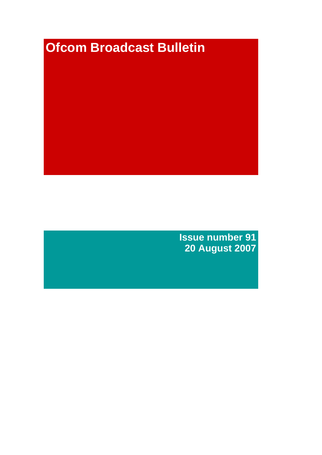# **Ofcom Broadcast Bulletin**

**Issue number 91 20 August 2007**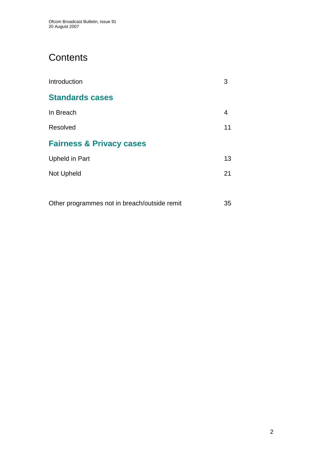# **Contents**

| Introduction                        | 3  |
|-------------------------------------|----|
| <b>Standards cases</b>              |    |
| In Breach                           | 4  |
| Resolved                            | 11 |
| <b>Fairness &amp; Privacy cases</b> |    |
| Upheld in Part                      | 13 |
| Not Upheld                          | 21 |
|                                     |    |

Other programmes not in breach/outside remit 35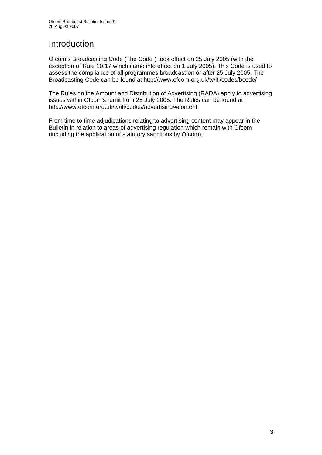# Introduction

Ofcom's Broadcasting Code ("the Code") took effect on 25 July 2005 (with the exception of Rule 10.17 which came into effect on 1 July 2005). This Code is used to assess the compliance of all programmes broadcast on or after 25 July 2005. The Broadcasting Code can be found at http://www.ofcom.org.uk/tv/ifi/codes/bcode/

The Rules on the Amount and Distribution of Advertising (RADA) apply to advertising issues within Ofcom's remit from 25 July 2005. The Rules can be found at http://www.ofcom.org.uk/tv/ifi/codes/advertising/#content

From time to time adjudications relating to advertising content may appear in the Bulletin in relation to areas of advertising regulation which remain with Ofcom (including the application of statutory sanctions by Ofcom).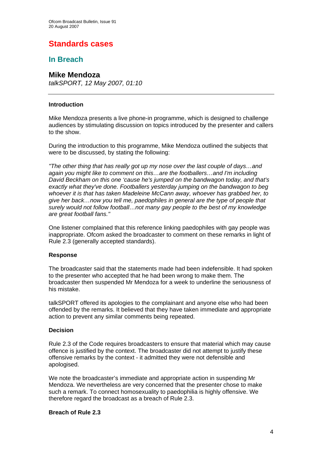# **Standards cases**

# **In Breach**

### **Mike Mendoza**

*talkSPORT, 12 May 2007, 01:10*

### **Introduction**

Mike Mendoza presents a live phone-in programme, which is designed to challenge audiences by stimulating discussion on topics introduced by the presenter and callers to the show.

During the introduction to this programme, Mike Mendoza outlined the subjects that were to be discussed, by stating the following:

*"The other thing that has really got up my nose over the last couple of days…and again you might like to comment on this…are the footballers…and I'm including David Beckham on this one 'cause he's jumped on the bandwagon today, and that's exactly what they've done. Footballers yesterday jumping on the bandwagon to beg whoever it is that has taken Madeleine McCann away, whoever has grabbed her, to give her back…now you tell me, paedophiles in general are the type of people that surely would not follow football…not many gay people to the best of my knowledge are great football fans."* 

One listener complained that this reference linking paedophiles with gay people was inappropriate. Ofcom asked the broadcaster to comment on these remarks in light of Rule 2.3 (generally accepted standards).

### **Response**

The broadcaster said that the statements made had been indefensible. It had spoken to the presenter who accepted that he had been wrong to make them. The broadcaster then suspended Mr Mendoza for a week to underline the seriousness of his mistake.

talkSPORT offered its apologies to the complainant and anyone else who had been offended by the remarks. It believed that they have taken immediate and appropriate action to prevent any similar comments being repeated.

### **Decision**

Rule 2.3 of the Code requires broadcasters to ensure that material which may cause offence is justified by the context. The broadcaster did not attempt to justify these offensive remarks by the context - it admitted they were not defensible and apologised.

We note the broadcaster's immediate and appropriate action in suspending Mr Mendoza. We nevertheless are very concerned that the presenter chose to make such a remark. To connect homosexuality to paedophilia is highly offensive. We therefore regard the broadcast as a breach of Rule 2.3.

### **Breach of Rule 2.3**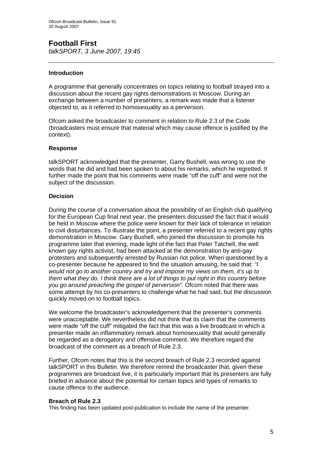### **Football First**  *talkSPORT, 3 June 2007, 19:45*

### **Introduction**

A programme that generally concentrates on topics relating to football strayed into a discussion about the recent gay rights demonstrations in Moscow. During an exchange between a number of presenters, a remark was made that a listener objected to, as it referred to homosexuality as a perversion.

Ofcom asked the broadcaster to comment in relation to Rule 2.3 of the Code (broadcasters must ensure that material which may cause offence is justified by the context).

### **Response**

talkSPORT acknowledged that the presenter, Garry Bushell, was wrong to use the words that he did and had been spoken to about his remarks, which he regretted. It further made the point that his comments were made "off the cuff" and were not the subject of the discussion.

### **Decision**

During the course of a conversation about the possibility of an English club qualifying for the European Cup final next year, the presenters discussed the fact that it would be held in Moscow where the police were known for their lack of tolerance in relation to civil disturbances. To illustrate the point, a presenter referred to a recent gay rights demonstration in Moscow. Gary Bushell, who joined the discussion to promote his programme later that evening, made light of the fact that Peter Tatchell, the well known gay rights activist, had been attacked at the demonstration by anti-gay protesters and subsequently arrested by Russian riot police. When questioned by a co-presenter because he appeared to find the situation amusing, he said that: *"I would not go to another country and try and impose my views on them, it's up to them what they do. I think there are a lot of things to put right in this country before you go around preaching the gospel of perversion".* Ofcom noted that there was some attempt by his co-presenters to challenge what he had said, but the discussion quickly moved on to football topics.

We welcome the broadcaster's acknowledgement that the presenter's comments were unacceptable. We nevertheless did not think that its claim that the comments were made "off the cuff" mitigated the fact that this was a live broadcast in which a presenter made an inflammatory remark about homosexuality that would generally be regarded as a derogatory and offensive comment. We therefore regard the broadcast of the comment as a breach of Rule 2.3.

Further, Ofcom notes that this is the second breach of Rule 2.3 recorded against talkSPORT in this Bulletin. We therefore remind the broadcaster that, given these programmes are broadcast live, it is particularly important that its presenters are fully briefed in advance about the potential for certain topics and types of remarks to cause offence to the audience.

### **Breach of Rule 2.3**

This finding has been updated post-publication to include the name of the presenter.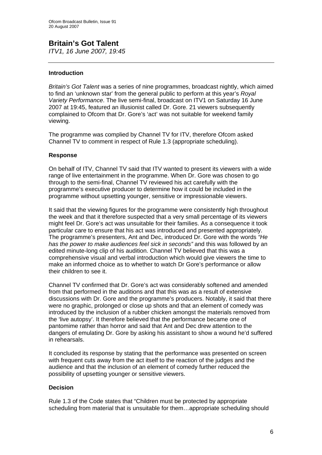### **Britain's Got Talent**  *ITV1, 16 June 2007, 19:45*

### **Introduction**

*Britain's Got Talent* was a series of nine programmes, broadcast nightly, which aimed to find an 'unknown star' from the general public to perform at this year's *Royal Variety Performance*. The live semi-final, broadcast on ITV1 on Saturday 16 June 2007 at 19:45, featured an illusionist called Dr. Gore. 21 viewers subsequently complained to Ofcom that Dr. Gore's 'act' was not suitable for weekend family viewing.

The programme was complied by Channel TV for ITV, therefore Ofcom asked Channel TV to comment in respect of Rule 1.3 (appropriate scheduling).

### **Response**

On behalf of ITV, Channel TV said that ITV wanted to present its viewers with a wide range of live entertainment in the programme. When Dr. Gore was chosen to go through to the semi-final, Channel TV reviewed his act carefully with the programme's executive producer to determine how it could be included in the programme without upsetting younger, sensitive or impressionable viewers.

It said that the viewing figures for the programme were consistently high throughout the week and that it therefore suspected that a very small percentage of its viewers might feel Dr. Gore's act was unsuitable for their families. As a consequence it took particular care to ensure that his act was introduced and presented appropriately. The programme's presenters, Ant and Dec, introduced Dr. Gore with the words *"He has the power to make audiences feel sick in seconds"* and this was followed by an edited minute-long clip of his audition. Channel TV believed that this was a comprehensive visual and verbal introduction which would give viewers the time to make an informed choice as to whether to watch Dr Gore's performance or allow their children to see it.

Channel TV confirmed that Dr. Gore's act was considerably softened and amended from that performed in the auditions and that this was as a result of extensive discussions with Dr. Gore and the programme's producers. Notably, it said that there were no graphic, prolonged or close up shots and that an element of comedy was introduced by the inclusion of a rubber chicken amongst the materials removed from the 'live autopsy'. It therefore believed that the performance became one of pantomime rather than horror and said that Ant and Dec drew attention to the dangers of emulating Dr. Gore by asking his assistant to show a wound he'd suffered in rehearsals.

It concluded its response by stating that the performance was presented on screen with frequent cuts away from the act itself to the reaction of the judges and the audience and that the inclusion of an element of comedy further reduced the possibility of upsetting younger or sensitive viewers.

### **Decision**

Rule 1.3 of the Code states that "Children must be protected by appropriate scheduling from material that is unsuitable for them…appropriate scheduling should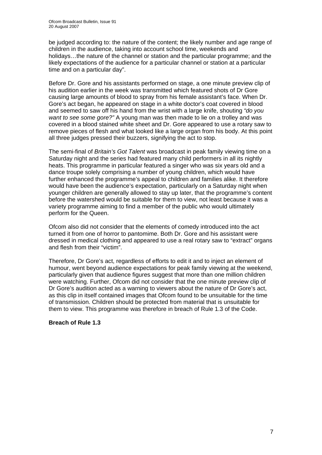be judged according to: the nature of the content; the likely number and age range of children in the audience, taking into account school time, weekends and holidays…the nature of the channel or station and the particular programme; and the likely expectations of the audience for a particular channel or station at a particular time and on a particular day".

Before Dr. Gore and his assistants performed on stage, a one minute preview clip of his audition earlier in the week was transmitted which featured shots of Dr Gore causing large amounts of blood to spray from his female assistant's face. When Dr. Gore's act began, he appeared on stage in a white doctor's coat covered in blood and seemed to saw off his hand from the wrist with a large knife, shouting *"do you want to see some gore?"* A young man was then made to lie on a trolley and was covered in a blood stained white sheet and Dr. Gore appeared to use a rotary saw to remove pieces of flesh and what looked like a large organ from his body. At this point all three judges pressed their buzzers, signifying the act to stop.

The semi-final of *Britain's Got Talent* was broadcast in peak family viewing time on a Saturday night and the series had featured many child performers in all its nightly heats. This programme in particular featured a singer who was six years old and a dance troupe solely comprising a number of young children, which would have further enhanced the programme's appeal to children and families alike. It therefore would have been the audience's expectation, particularly on a Saturday night when younger children are generally allowed to stay up later, that the programme's content before the watershed would be suitable for them to view, not least because it was a variety programme aiming to find a member of the public who would ultimately perform for the Queen.

Ofcom also did not consider that the elements of comedy introduced into the act turned it from one of horror to pantomime. Both Dr. Gore and his assistant were dressed in medical clothing and appeared to use a real rotary saw to "extract" organs and flesh from their "victim".

Therefore, Dr Gore's act, regardless of efforts to edit it and to inject an element of humour, went beyond audience expectations for peak family viewing at the weekend, particularly given that audience figures suggest that more than one million children were watching. Further, Ofcom did not consider that the one minute preview clip of Dr Gore's audition acted as a warning to viewers about the nature of Dr Gore's act, as this clip in itself contained images that Ofcom found to be unsuitable for the time of transmission. Children should be protected from material that is unsuitable for them to view. This programme was therefore in breach of Rule 1.3 of the Code.

### **Breach of Rule 1.3**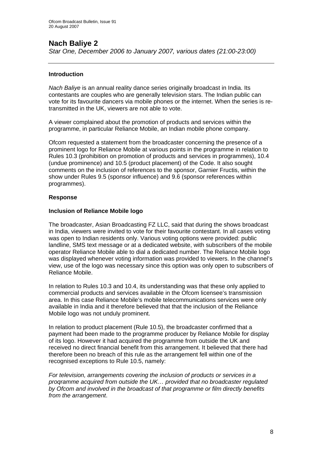# **Nach Baliye 2**

*Star One, December 2006 to January 2007, various dates (21:00-23:00)* 

### **Introduction**

*Nach Baliye* is an annual reality dance series originally broadcast in India. Its contestants are couples who are generally television stars. The Indian public can vote for its favourite dancers via mobile phones or the internet. When the series is retransmitted in the UK, viewers are not able to vote.

A viewer complained about the promotion of products and services within the programme, in particular Reliance Mobile, an Indian mobile phone company.

Ofcom requested a statement from the broadcaster concerning the presence of a prominent logo for Reliance Mobile at various points in the programme in relation to Rules 10.3 (prohibition on promotion of products and services in programmes), 10.4 (undue prominence) and 10.5 (product placement) of the Code. It also sought comments on the inclusion of references to the sponsor, Garnier Fructis, within the show under Rules 9.5 (sponsor influence) and 9.6 (sponsor references within programmes).

### **Response**

### **Inclusion of Reliance Mobile logo**

The broadcaster, Asian Broadcasting FZ LLC, said that during the shows broadcast in India, viewers were invited to vote for their favourite contestant. In all cases voting was open to Indian residents only. Various voting options were provided: public landline, SMS text message or at a dedicated website, with subscribers of the mobile operator Reliance Mobile able to dial a dedicated number. The Reliance Mobile logo was displayed whenever voting information was provided to viewers. In the channel's view, use of the logo was necessary since this option was only open to subscribers of Reliance Mobile.

In relation to Rules 10.3 and 10.4, its understanding was that these only applied to commercial products and services available in the Ofcom licensee's transmission area. In this case Reliance Mobile's mobile telecommunications services were only available in India and it therefore believed that that the inclusion of the Reliance Mobile logo was not unduly prominent.

In relation to product placement (Rule 10.5), the broadcaster confirmed that a payment had been made to the programme producer by Reliance Mobile for display of its logo. However it had acquired the programme from outside the UK and received no direct financial benefit from this arrangement. It believed that there had therefore been no breach of this rule as the arrangement fell within one of the recognised exceptions to Rule 10.5, namely:

*For television, arrangements covering the inclusion of products or services in a proqramme acquired from outside the UK… provided that no broadcaster regulated by Ofcom and involved in the broadcast of that programme or film directly benefits from the arrangement*.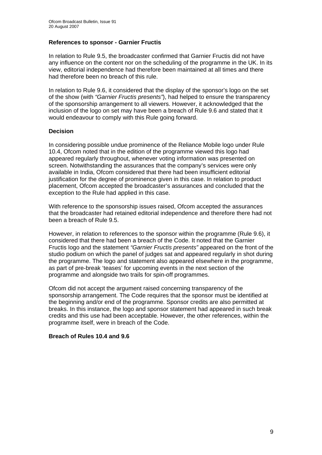### **References to sponsor - Garnier Fructis**

In relation to Rule 9.5, the broadcaster confirmed that Garnier Fructis did not have any influence on the content nor on the scheduling of the programme in the UK. In its view, editorial independence had therefore been maintained at all times and there had therefore been no breach of this rule.

In relation to Rule 9.6, it considered that the display of the sponsor's logo on the set of the show (with *"Garnier Fructis presents"*), had helped to ensure the transparency of the sponsorship arrangement to all viewers. However, it acknowledged that the inclusion of the logo on set may have been a breach of Rule 9.6 and stated that it would endeavour to comply with this Rule going forward.

### **Decision**

In considering possible undue prominence of the Reliance Mobile logo under Rule 10.4, Ofcom noted that in the edition of the programme viewed this logo had appeared regularly throughout, whenever voting information was presented on screen. Notwithstanding the assurances that the company's services were only available in India, Ofcom considered that there had been insufficient editorial justification for the degree of prominence given in this case. In relation to product placement, Ofcom accepted the broadcaster's assurances and concluded that the exception to the Rule had applied in this case.

With reference to the sponsorship issues raised, Ofcom accepted the assurances that the broadcaster had retained editorial independence and therefore there had not been a breach of Rule 9.5.

However, in relation to references to the sponsor within the programme (Rule 9.6), it considered that there had been a breach of the Code. It noted that the Garnier Fructis logo and the statement *"Garnier Fructis presents"* appeared on the front of the studio podium on which the panel of judges sat and appeared regularly in shot during the programme. The logo and statement also appeared elsewhere in the programme, as part of pre-break 'teases' for upcoming events in the next section of the programme and alongside two trails for spin-off programmes.

Ofcom did not accept the argument raised concerning transparency of the sponsorship arrangement. The Code requires that the sponsor must be identified at the beginning and/or end of the programme. Sponsor credits are also permitted at breaks. In this instance, the logo and sponsor statement had appeared in such break credits and this use had been acceptable. However, the other references, within the programme itself, were in breach of the Code.

### **Breach of Rules 10.4 and 9.6**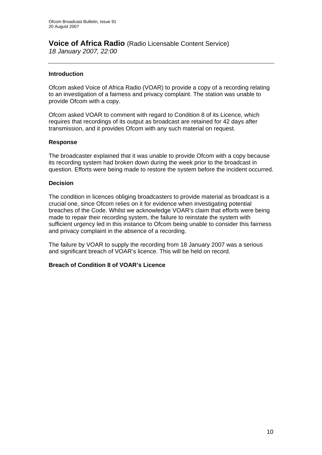### **Voice of Africa Radio** (Radio Licensable Content Service) *18 January 2007, 22:00*

### **Introduction**

Ofcom asked Voice of Africa Radio (VOAR) to provide a copy of a recording relating to an investigation of a fairness and privacy complaint. The station was unable to provide Ofcom with a copy.

Ofcom asked VOAR to comment with regard to Condition 8 of its Licence, which requires that recordings of its output as broadcast are retained for 42 days after transmission, and it provides Ofcom with any such material on request.

### **Response**

The broadcaster explained that it was unable to provide Ofcom with a copy because its recording system had broken down during the week prior to the broadcast in question. Efforts were being made to restore the system before the incident occurred.

### **Decision**

The condition in licences obliging broadcasters to provide material as broadcast is a crucial one, since Ofcom relies on it for evidence when investigating potential breaches of the Code. Whilst we acknowledge VOAR's claim that efforts were being made to repair their recording system, the failure to reinstate the system with sufficient urgency led in this instance to Ofcom being unable to consider this fairness and privacy complaint in the absence of a recording.

The failure by VOAR to supply the recording from 18 January 2007 was a serious and significant breach of VOAR's licence. This will be held on record.

### **Breach of Condition 8 of VOAR's Licence**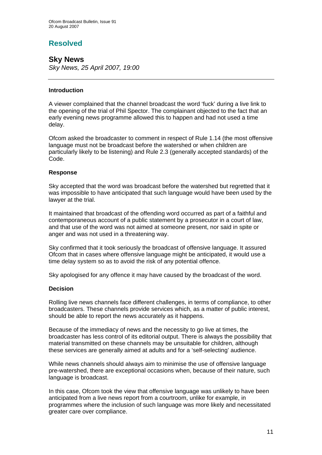# **Resolved**

## **Sky News**

*Sky News, 25 April 2007, 19:00* 

### **Introduction**

A viewer complained that the channel broadcast the word 'fuck' during a live link to the opening of the trial of Phil Spector. The complainant objected to the fact that an early evening news programme allowed this to happen and had not used a time delay.

Ofcom asked the broadcaster to comment in respect of Rule 1.14 (the most offensive language must not be broadcast before the watershed or when children are particularly likely to be listening) and Rule 2.3 (generally accepted standards) of the Code.

### **Response**

Sky accepted that the word was broadcast before the watershed but regretted that it was impossible to have anticipated that such language would have been used by the lawyer at the trial.

It maintained that broadcast of the offending word occurred as part of a faithful and contemporaneous account of a public statement by a prosecutor in a court of law, and that use of the word was not aimed at someone present, nor said in spite or anger and was not used in a threatening way.

Sky confirmed that it took seriously the broadcast of offensive language. It assured Ofcom that in cases where offensive language might be anticipated, it would use a time delay system so as to avoid the risk of any potential offence.

Sky apologised for any offence it may have caused by the broadcast of the word.

### **Decision**

Rolling live news channels face different challenges, in terms of compliance, to other broadcasters. These channels provide services which, as a matter of public interest, should be able to report the news accurately as it happens.

Because of the immediacy of news and the necessity to go live at times, the broadcaster has less control of its editorial output. There is always the possibility that material transmitted on these channels may be unsuitable for children, although these services are generally aimed at adults and for a 'self-selecting' audience.

While news channels should always aim to minimise the use of offensive language pre-watershed, there are exceptional occasions when, because of their nature, such language is broadcast.

In this case, Ofcom took the view that offensive language was unlikely to have been anticipated from a live news report from a courtroom, unlike for example, in programmes where the inclusion of such language was more likely and necessitated greater care over compliance.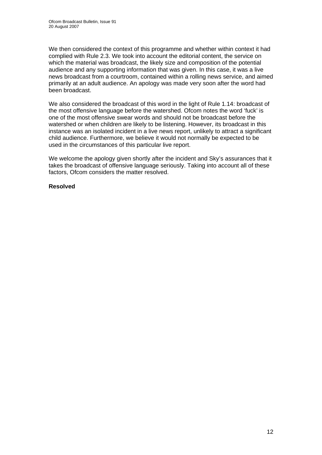We then considered the context of this programme and whether within context it had complied with Rule 2.3. We took into account the editorial content, the service on which the material was broadcast, the likely size and composition of the potential audience and any supporting information that was given. In this case, it was a live news broadcast from a courtroom, contained within a rolling news service, and aimed primarily at an adult audience. An apology was made very soon after the word had been broadcast.

We also considered the broadcast of this word in the light of Rule 1.14: broadcast of the most offensive language before the watershed. Ofcom notes the word 'fuck' is one of the most offensive swear words and should not be broadcast before the watershed or when children are likely to be listening. However, its broadcast in this instance was an isolated incident in a live news report, unlikely to attract a significant child audience. Furthermore, we believe it would not normally be expected to be used in the circumstances of this particular live report.

We welcome the apology given shortly after the incident and Sky's assurances that it takes the broadcast of offensive language seriously. Taking into account all of these factors, Ofcom considers the matter resolved.

### **Resolved**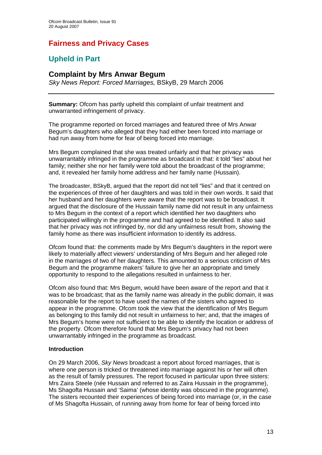# **Fairness and Privacy Cases**

# **Upheld in Part**

### **Complaint by Mrs Anwar Begum**

*Sky News Report: Forced Marriages,* BSkyB, 29 March 2006

**Summary:** Ofcom has partly upheld this complaint of unfair treatment and unwarranted infringement of privacy.

The programme reported on forced marriages and featured three of Mrs Anwar Begum's daughters who alleged that they had either been forced into marriage or had run away from home for fear of being forced into marriage.

Mrs Begum complained that she was treated unfairly and that her privacy was unwarrantably infringed in the programme as broadcast in that: it told "lies" about her family; neither she nor her family were told about the broadcast of the programme; and, it revealed her family home address and her family name (Hussain).

The broadcaster, BSkyB, argued that the report did not tell "lies" and that it centred on the experiences of three of her daughters and was told in their own words. It said that her husband and her daughters were aware that the report was to be broadcast. It argued that the disclosure of the Hussain family name did not result in any unfairness to Mrs Begum in the context of a report which identified her two daughters who participated willingly in the programme and had agreed to be identified. It also said that her privacy was not infringed by, nor did any unfairness result from, showing the family home as there was insufficient information to identify its address.

Ofcom found that: the comments made by Mrs Begum's daughters in the report were likely to materially affect viewers' understanding of Mrs Begum and her alleged role in the marriages of two of her daughters. This amounted to a serious criticism of Mrs Begum and the programme makers' failure to give her an appropriate and timely opportunity to respond to the allegations resulted in unfairness to her.

Ofcom also found that: Mrs Begum, would have been aware of the report and that it was to be broadcast; that as the family name was already in the public domain, it was reasonable for the report to have used the names of the sisters who agreed to appear in the programme. Ofcom took the view that the identification of Mrs Begum as belonging to this family did not result in unfairness to her; and, that the images of Mrs Begum's home were not sufficient to be able to identify the location or address of the property. Ofcom therefore found that Mrs Begum's privacy had not been unwarrantably infringed in the programme as broadcast.

### **Introduction**

On 29 March 2006, *Sky News* broadcast a report about forced marriages, that is where one person is tricked or threatened into marriage against his or her will often as the result of family pressures. The report focused in particular upon three sisters: Mrs Zaira Steele (née Hussain and referred to as Zaira Hussain in the programme), Ms Shagofta Hussain and 'Saima' (whose identity was obscured in the programme). The sisters recounted their experiences of being forced into marriage (or, in the case of Ms Shagofta Hussain, of running away from home for fear of being forced into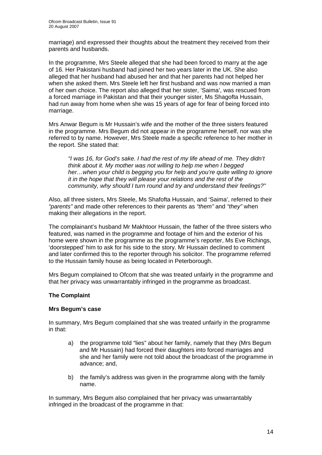marriage) and expressed their thoughts about the treatment they received from their parents and husbands.

In the programme, Mrs Steele alleged that she had been forced to marry at the age of 16. Her Pakistani husband had joined her two years later in the UK. She also alleged that her husband had abused her and that her parents had not helped her when she asked them. Mrs Steele left her first husband and was now married a man of her own choice. The report also alleged that her sister, 'Saima', was rescued from a forced marriage in Pakistan and that their younger sister, Ms Shagofta Hussain, had run away from home when she was 15 years of age for fear of being forced into marriage.

Mrs Anwar Begum is Mr Hussain's wife and the mother of the three sisters featured in the programme. Mrs Begum did not appear in the programme herself, nor was she referred to by name. However, Mrs Steele made a specific reference to her mother in the report. She stated that:

*"I was 16, for God's sake. I had the rest of my life ahead of me. They didn't think about it. My mother was not willing to help me when I begged her…when your child is begging you for help and you're quite willing to ignore it in the hope that they will please your relations and the rest of the community, why should I turn round and try and understand their feelings?"* 

Also, all three sisters, Mrs Steele, Ms Shafofta Hussain, and 'Saima', referred to their *"parents"* and made other references to their parents as *"them"* and *"they"* when making their allegations in the report.

The complainant's husband Mr Makhtoor Hussain, the father of the three sisters who featured, was named in the programme and footage of him and the exterior of his home were shown in the programme as the programme's reporter, Ms Eve Richings, 'doorstepped' him to ask for his side to the story. Mr Hussain declined to comment and later confirmed this to the reporter through his solicitor. The programme referred to the Hussain family house as being located in Peterborough.

Mrs Begum complained to Ofcom that she was treated unfairly in the programme and that her privacy was unwarrantably infringed in the programme as broadcast.

### **The Complaint**

### **Mrs Begum's case**

In summary, Mrs Begum complained that she was treated unfairly in the programme in that:

- a) the programme told "lies" about her family, namely that they (Mrs Begum and Mr Hussain) had forced their daughters into forced marriages and she and her family were not told about the broadcast of the programme in advance; and,
- b) the family's address was given in the programme along with the family name.

In summary, Mrs Begum also complained that her privacy was unwarrantably infringed in the broadcast of the programme in that: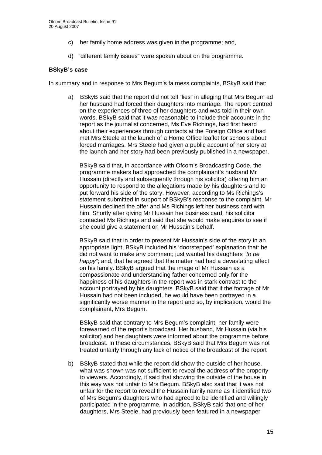- c) her family home address was given in the programme; and,
- d) "different family issues" were spoken about on the programme.

### **BSkyB's case**

In summary and in response to Mrs Begum's fairness complaints, BSkyB said that:

a) BSkyB said that the report did not tell "lies" in alleging that Mrs Begum ad her husband had forced their daughters into marriage. The report centred on the experiences of three of her daughters and was told in their own words. BSkyB said that it was reasonable to include their accounts in the report as the journalist concerned, Ms Eve Richings, had first heard about their experiences through contacts at the Foreign Office and had met Mrs Steele at the launch of a Home Office leaflet for schools about forced marriages. Mrs Steele had given a public account of her story at the launch and her story had been previously published in a newspaper.

BSkyB said that, in accordance with Ofcom's Broadcasting Code, the programme makers had approached the complainant's husband Mr Hussain (directly and subsequently through his solicitor) offering him an opportunity to respond to the allegations made by his daughters and to put forward his side of the story. However, according to Ms Richings's statement submitted in support of BSkyB's response to the complaint, Mr Hussain declined the offer and Ms Richings left her business card with him. Shortly after giving Mr Hussain her business card, his solicitor contacted Ms Richings and said that she would make enquires to see if she could give a statement on Mr Hussain's behalf.

BSkyB said that in order to present Mr Hussain's side of the story in an appropriate light, BSkyB included his 'doorstepped' explanation that: he did not want to make any comment; just wanted his daughters *"to be happy"*; and, that he agreed that the matter had had a devastating affect on his family. BSkyB argued that the image of Mr Hussain as a compassionate and understanding father concerned only for the happiness of his daughters in the report was in stark contrast to the account portrayed by his daughters. BSkyB said that if the footage of Mr Hussain had not been included, he would have been portrayed in a significantly worse manner in the report and so, by implication, would the complainant, Mrs Begum.

 BSkyB said that contrary to Mrs Begum's complaint, her family were forewarned of the report's broadcast. Her husband, Mr Hussain (via his solicitor) and her daughters were informed about the programme before broadcast. In these circumstances, BSkyB said that Mrs Begum was not treated unfairly through any lack of notice of the broadcast of the report

b) BSkyB stated that while the report did show the outside of her house, what was shown was not sufficient to reveal the address of the property to viewers. Accordingly, it said that showing the outside of the house in this way was not unfair to Mrs Begum. BSkyB also said that it was not unfair for the report to reveal the Hussain family name as it identified two of Mrs Begum's daughters who had agreed to be identified and willingly participated in the programme. In addition, BSkyB said that one of her daughters, Mrs Steele, had previously been featured in a newspaper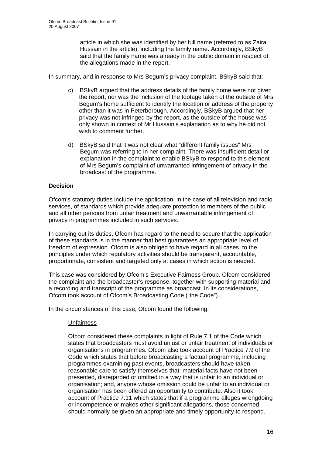article in which she was identified by her full name (referred to as Zaira Hussain in the article), including the family name. Accordingly, BSkyB said that the family name was already in the public domain in respect of the allegations made in the report.

In summary, and in response to Mrs Begum's privacy complaint, BSkyB said that:

- c) BSkyB argued that the address details of the family home were not given the report, nor was the inclusion of the footage taken of the outside of Mrs Begum's home sufficient to identify the location or address of the property other than it was in Peterborough. Accordingly, BSkyB argued that her privacy was not infringed by the report, as the outside of the house was only shown in context of Mr Hussain's explanation as to why he did not wish to comment further.
- d) BSkyB said that it was not clear what "different family issues" Mrs Begum was referring to in her complaint. There was insufficient detail or explanation in the complaint to enable BSkyB to respond to this element of Mrs Begum's complaint of unwarranted infringement of privacy in the broadcast of the programme.

### **Decision**

Ofcom's statutory duties include the application, in the case of all television and radio services, of standards which provide adequate protection to members of the public and all other persons from unfair treatment and unwarrantable infringement of privacy in programmes included in such services.

In carrying out its duties, Ofcom has regard to the need to secure that the application of these standards is in the manner that best guarantees an appropriate level of freedom of expression. Ofcom is also obliged to have regard in all cases, to the principles under which regulatory activities should be transparent, accountable, proportionate, consistent and targeted only at cases in which action is needed.

This case was considered by Ofcom's Executive Fairness Group. Ofcom considered the complaint and the broadcaster's response, together with supporting material and a recording and transcript of the programme as broadcast. In its considerations, Ofcom took account of Ofcom's Broadcasting Code ("the Code").

In the circumstances of this case, Ofcom found the following:

### Unfairness

Ofcom considered these complaints in light of Rule 7.1 of the Code which states that broadcasters must avoid unjust or unfair treatment of individuals or organisations in programmes. Ofcom also took account of Practice 7.9 of the Code which states that before broadcasting a factual programme, including programmes examining past events, broadcasters should have taken reasonable care to satisfy themselves that: material facts have not been presented, disregarded or omitted in a way that is unfair to an individual or organisation; and, anyone whose omission could be unfair to an individual or organisation has been offered an opportunity to contribute. Also it took account of Practice 7.11 which states that if a programme alleges wrongdoing or incompetence or makes other significant allegations, those concerned should normally be given an appropriate and timely opportunity to respond.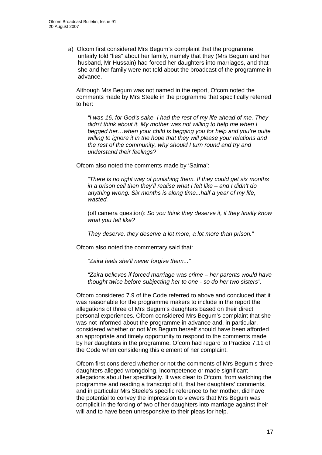a) Ofcom first considered Mrs Begum's complaint that the programme unfairly told "lies" about her family, namely that they (Mrs Begum and her husband, Mr Hussain) had forced her daughters into marriages, and that she and her family were not told about the broadcast of the programme in advance.

Although Mrs Begum was not named in the report, Ofcom noted the comments made by Mrs Steele in the programme that specifically referred to her:

*"I was 16, for God's sake. I had the rest of my life ahead of me. They didn't think about it. My mother was not willing to help me when I begged her…when your child is begging you for help and you're quite willing to ignore it in the hope that they will please your relations and the rest of the community, why should I turn round and try and understand their feelings?"* 

Ofcom also noted the comments made by 'Saima':

*"There is no right way of punishing them. If they could get six months in a prison cell then they'll realise what I felt like – and I didn't do anything wrong. Six months is along time...half a year of my life, wasted.* 

(off camera question): *So you think they deserve it, if they finally know what you felt like?* 

*They deserve, they deserve a lot more, a lot more than prison."* 

Ofcom also noted the commentary said that:

*"Zaira feels she'll never forgive them..."* 

*"Zaira believes if forced marriage was crime – her parents would have thought twice before subjecting her to one - so do her two sisters".*

Ofcom considered 7.9 of the Code referred to above and concluded that it was reasonable for the programme makers to include in the report the allegations of three of Mrs Begum's daughters based on their direct personal experiences. Ofcom considered Mrs Begum's complaint that she was not informed about the programme in advance and, in particular, considered whether or not Mrs Begum herself should have been afforded an appropriate and timely opportunity to respond to the comments made by her daughters in the programme. Ofcom had regard to Practice 7.11 of the Code when considering this element of her complaint.

Ofcom first considered whether or not the comments of Mrs Begum's three daughters alleged wrongdoing, incompetence or made significant allegations about her specifically. It was clear to Ofcom, from watching the programme and reading a transcript of it, that her daughters' comments, and in particular Mrs Steele's specific reference to her mother, did have the potential to convey the impression to viewers that Mrs Begum was complicit in the forcing of two of her daughters into marriage against their will and to have been unresponsive to their pleas for help.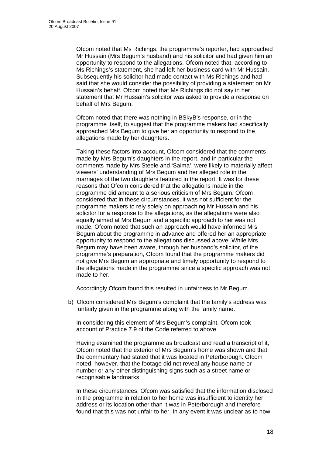Ofcom noted that Ms Richings, the programme's reporter, had approached Mr Hussain (Mrs Begum's husband) and his solicitor and had given him an opportunity to respond to the allegations. Ofcom noted that, according to Ms Richings's statement, she had left her business card with Mr Hussain. Subsequently his solicitor had made contact with Ms Richings and had said that she would consider the possibility of providing a statement on Mr Hussain's behalf. Ofcom noted that Ms Richings did not say in her statement that Mr Hussain's solicitor was asked to provide a response on behalf of Mrs Begum.

Ofcom noted that there was nothing in BSkyB's response, or in the programme itself, to suggest that the programme makers had specifically approached Mrs Begum to give her an opportunity to respond to the allegations made by her daughters.

Taking these factors into account, Ofcom considered that the comments made by Mrs Begum's daughters in the report, and in particular the comments made by Mrs Steele and 'Saima', were likely to materially affect viewers' understanding of Mrs Begum and her alleged role in the marriages of the two daughters featured in the report. It was for these reasons that Ofcom considered that the allegations made in the programme did amount to a serious criticism of Mrs Begum. Ofcom considered that in these circumstances, it was not sufficient for the programme makers to rely solely on approaching Mr Hussain and his solicitor for a response to the allegations, as the allegations were also equally aimed at Mrs Begum and a specific approach to her was not made. Ofcom noted that such an approach would have informed Mrs Begum about the programme in advance and offered her an appropriate opportunity to respond to the allegations discussed above. While Mrs Begum may have been aware, through her husband's solicitor, of the programme's preparation, Ofcom found that the programme makers did not give Mrs Begum an appropriate and timely opportunity to respond to the allegations made in the programme since a specific approach was not made to her.

Accordingly Ofcom found this resulted in unfairness to Mr Begum.

b) Ofcom considered Mrs Begum's complaint that the family's address was unfairly given in the programme along with the family name.

In considering this element of Mrs Begum's complaint, Ofcom took account of Practice 7.9 of the Code referred to above.

Having examined the programme as broadcast and read a transcript of it, Ofcom noted that the exterior of Mrs Begum's home was shown and that the commentary had stated that it was located in Peterborough. Ofcom noted, however, that the footage did not reveal any house name or number or any other distinguishing signs such as a street name or recognisable landmarks.

In these circumstances, Ofcom was satisfied that the information disclosed in the programme in relation to her home was insufficient to identity her address or its location other than it was in Peterborough and therefore found that this was not unfair to her. In any event it was unclear as to how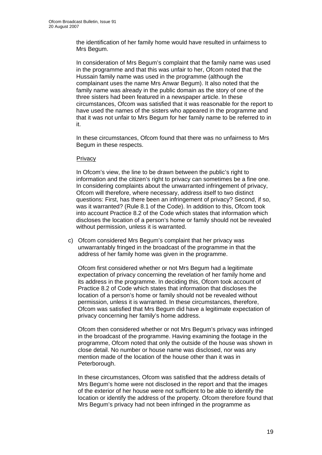the identification of her family home would have resulted in unfairness to Mrs Begum.

In consideration of Mrs Begum's complaint that the family name was used in the programme and that this was unfair to her, Ofcom noted that the Hussain family name was used in the programme (although the complainant uses the name Mrs Anwar Begum). It also noted that the family name was already in the public domain as the story of one of the three sisters had been featured in a newspaper article. In these circumstances, Ofcom was satisfied that it was reasonable for the report to have used the names of the sisters who appeared in the programme and that it was not unfair to Mrs Begum for her family name to be referred to in it.

In these circumstances, Ofcom found that there was no unfairness to Mrs Begum in these respects.

### **Privacy**

In Ofcom's view, the line to be drawn between the public's right to information and the citizen's right to privacy can sometimes be a fine one. In considering complaints about the unwarranted infringement of privacy, Ofcom will therefore, where necessary, address itself to two distinct questions: First, has there been an infringement of privacy? Second, if so, was it warranted? (Rule 8.1 of the Code). In addition to this, Ofcom took into account Practice 8.2 of the Code which states that information which discloses the location of a person's home or family should not be revealed without permission, unless it is warranted.

 c) Ofcom considered Mrs Begum's complaint that her privacy was unwarrantably fringed in the broadcast of the programme in that the address of her family home was given in the programme.

Ofcom first considered whether or not Mrs Begum had a legitimate expectation of privacy concerning the revelation of her family home and its address in the programme. In deciding this, Ofcom took account of Practice 8.2 of Code which states that information that discloses the location of a person's home or family should not be revealed without permission, unless it is warranted. In these circumstances, therefore, Ofcom was satisfied that Mrs Begum did have a legitimate expectation of privacy concerning her family's home address.

Ofcom then considered whether or not Mrs Begum's privacy was infringed in the broadcast of the programme. Having examining the footage in the programme, Ofcom noted that only the outside of the house was shown in close detail. No number or house name was disclosed, nor was any mention made of the location of the house other than it was in Peterborough.

In these circumstances, Ofcom was satisfied that the address details of Mrs Begum's home were not disclosed in the report and that the images of the exterior of her house were not sufficient to be able to identify the location or identify the address of the property. Ofcom therefore found that Mrs Begum's privacy had not been infringed in the programme as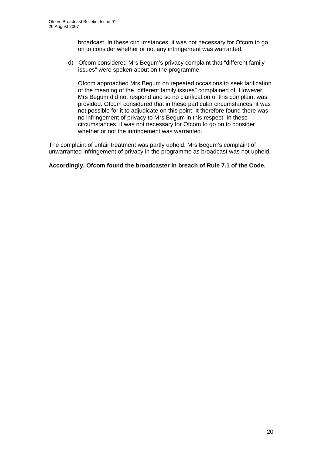broadcast. In these circumstances, it was not necessary for Ofcom to go on to consider whether or not any infringement was warranted.

 d) Ofcom considered Mrs Begum's privacy complaint that "different family issues" were spoken about on the programme.

 Ofcom approached Mrs Begum on repeated occasions to seek larification of the meaning of the "different family issues" complained of. However, Mrs Begum did not respond and so no clarification of this complaint was provided. Ofcom considered that in these particular circumstances, it was not possible for it to adjudicate on this point. It therefore found there was no infringement of privacy to Mrs Begum in this respect. In these circumstances, it was not necessary for Ofcom to go on to consider whether or not the infringement was warranted.

The complaint of unfair treatment was partly upheld. Mrs Begum's complaint of unwarranted infringement of privacy in the programme as broadcast was not upheld.

### **Accordingly, Ofcom found the broadcaster in breach of Rule 7.1 of the Code.**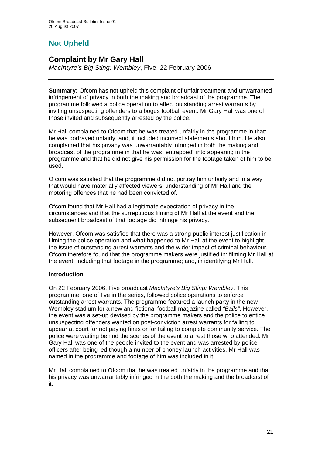# **Not Upheld**

# **Complaint by Mr Gary Hall**

*MacIntyre's Big Sting: Wembley*, Five, 22 February 2006

**Summary:** Ofcom has not upheld this complaint of unfair treatment and unwarranted infringement of privacy in both the making and broadcast of the programme. The programme followed a police operation to affect outstanding arrest warrants by inviting unsuspecting offenders to a bogus football event. Mr Gary Hall was one of those invited and subsequently arrested by the police.

Mr Hall complained to Ofcom that he was treated unfairly in the programme in that: he was portrayed unfairly; and, it included incorrect statements about him. He also complained that his privacy was unwarrantably infringed in both the making and broadcast of the programme in that he was "entrapped" into appearing in the programme and that he did not give his permission for the footage taken of him to be used.

Ofcom was satisfied that the programme did not portray him unfairly and in a way that would have materially affected viewers' understanding of Mr Hall and the motoring offences that he had been convicted of.

Ofcom found that Mr Hall had a legitimate expectation of privacy in the circumstances and that the surreptitious filming of Mr Hall at the event and the subsequent broadcast of that footage did infringe his privacy.

However, Ofcom was satisfied that there was a strong public interest justification in filming the police operation and what happened to Mr Hall at the event to highlight the issue of outstanding arrest warrants and the wider impact of criminal behaviour. Ofcom therefore found that the programme makers were justified in: filming Mr Hall at the event; including that footage in the programme; and, in identifying Mr Hall.

### **Introduction**

On 22 February 2006, Five broadcast *MacIntyre's Big Sting: Wembley*. This programme, one of five in the series, followed police operations to enforce outstanding arrest warrants. The programme featured a launch party in the new Wembley stadium for a new and fictional football magazine called *"Balls"*. However, the event was a set-up devised by the programme makers and the police to entice unsuspecting offenders wanted on post-conviction arrest warrants for failing to appear at court for not paying fines or for failing to complete community service. The police were waiting behind the scenes of the event to arrest those who attended. Mr Gary Hall was one of the people invited to the event and was arrested by police officers after being led though a number of phoney launch activities. Mr Hall was named in the programme and footage of him was included in it.

Mr Hall complained to Ofcom that he was treated unfairly in the programme and that his privacy was unwarrantably infringed in the both the making and the broadcast of it.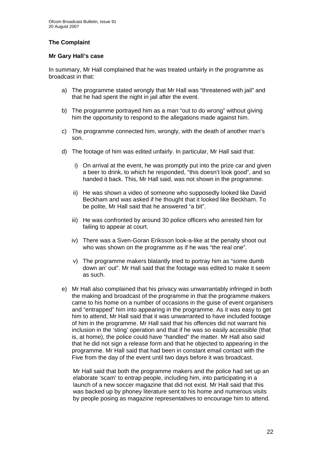### **The Complaint**

### **Mr Gary Hall's case**

In summary, Mr Hall complained that he was treated unfairly in the programme as broadcast in that:

- a) The programme stated wrongly that Mr Hall was "threatened with jail" and that he had spent the night in jail after the event.
- b) The programme portrayed him as a man "out to do wrong" without giving him the opportunity to respond to the allegations made against him.
- c) The programme connected him, wrongly, with the death of another man's son.
- d) The footage of him was edited unfairly. In particular, Mr Hall said that:
	- i) On arrival at the event, he was promptly put into the prize car and given a beer to drink, to which he responded, "this doesn't look good", and so handed it back. This, Mr Hall said, was not shown in the programme.
	- ii) He was shown a video of someone who supposedly looked like David Beckham and was asked if he thought that it looked like Beckham. To be polite, Mr Hall said that he answered "a bit".
	- iii) He was confronted by around 30 police officers who arrested him for failing to appear at court.
	- iv) There was a Sven-Goran Eriksson look-a-like at the penalty shoot out who was shown on the programme as if he was "the real one".
	- v) The programme makers blatantly tried to portray him as "some dumb down an' out". Mr Hall said that the footage was edited to make it seem as such.
- e) Mr Hall also complained that his privacy was unwarrantably infringed in both the making and broadcast of the programme in that the programme makers came to his home on a number of occasions in the guise of event organisers and "entrapped" him into appearing in the programme. As it was easy to get him to attend, Mr Hall said that it was unwarranted to have included footage of him in the programme. Mr Hall said that his offences did not warrant his inclusion in the 'sting' operation and that if he was so easily accessible (that is, at home), the police could have "handled" the matter. Mr Hall also said that he did not sign a release form and that he objected to appearing in the programme. Mr Hall said that had been in constant email contact with the Five from the day of the event until two days before it was broadcast.

Mr Hall said that both the programme makers and the police had set up an elaborate 'scam' to entrap people, including him, into participating in a launch of a new soccer magazine that did not exist. Mr Hall said that this was backed up by phoney literature sent to his home and numerous visits by people posing as magazine representatives to encourage him to attend.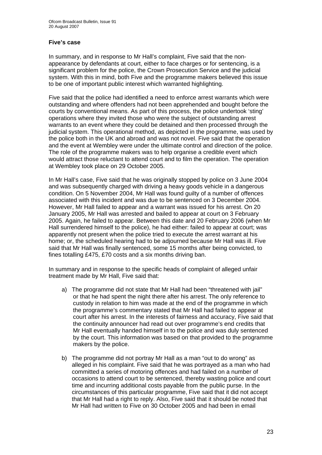### **Five's case**

In summary, and in response to Mr Hall's complaint, Five said that the nonappearance by defendants at court, either to face charges or for sentencing, is a significant problem for the police, the Crown Prosecution Service and the judicial system. With this in mind, both Five and the programme makers believed this issue to be one of important public interest which warranted highlighting.

Five said that the police had identified a need to enforce arrest warrants which were outstanding and where offenders had not been apprehended and bought before the courts by conventional means. As part of this process, the police undertook 'sting' operations where they invited those who were the subject of outstanding arrest warrants to an event where they could be detained and then processed through the judicial system. This operational method, as depicted in the programme, was used by the police both in the UK and abroad and was not novel. Five said that the operation and the event at Wembley were under the ultimate control and direction of the police. The role of the programme makers was to help organise a credible event which would attract those reluctant to attend court and to film the operation. The operation at Wembley took place on 29 October 2005.

In Mr Hall's case, Five said that he was originally stopped by police on 3 June 2004 and was subsequently charged with driving a heavy goods vehicle in a dangerous condition. On 5 November 2004, Mr Hall was found guilty of a number of offences associated with this incident and was due to be sentenced on 3 December 2004. However, Mr Hall failed to appear and a warrant was issued for his arrest. On 20 January 2005, Mr Hall was arrested and bailed to appear at court on 3 February 2005. Again, he failed to appear. Between this date and 20 February 2006 (when Mr Hall surrendered himself to the police), he had either: failed to appear at court; was apparently not present when the police tried to execute the arrest warrant at his home; or, the scheduled hearing had to be adjourned because Mr Hall was ill. Five said that Mr Hall was finally sentenced, some 15 months after being convicted, to fines totalling £475, £70 costs and a six months driving ban.

In summary and in response to the specific heads of complaint of alleged unfair treatment made by Mr Hall, Five said that:

- a) The programme did not state that Mr Hall had been "threatened with jail" or that he had spent the night there after his arrest. The only reference to custody in relation to him was made at the end of the programme in which the programme's commentary stated that Mr Hall had failed to appear at court after his arrest. In the interests of fairness and accuracy, Five said that the continuity announcer had read out over programme's end credits that Mr Hall eventually handed himself in to the police and was duly sentenced by the court. This information was based on that provided to the programme makers by the police.
- b) The programme did not portray Mr Hall as a man "out to do wrong" as alleged in his complaint. Five said that he was portrayed as a man who had committed a series of motoring offences and had failed on a number of occasions to attend court to be sentenced, thereby wasting police and court time and incurring additional costs payable from the public purse. In the circumstances of this particular programme, Five said that it did not accept that Mr Hall had a right to reply. Also, Five said that it should be noted that Mr Hall had written to Five on 30 October 2005 and had been in email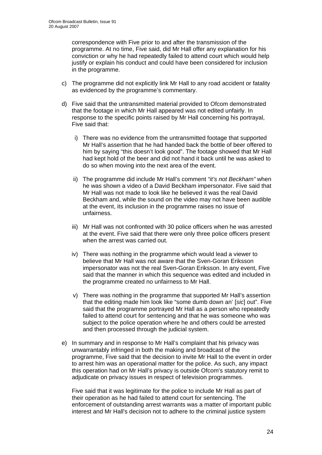correspondence with Five prior to and after the transmission of the programme. At no time, Five said, did Mr Hall offer any explanation for his conviction or why he had repeatedly failed to attend court which would help justify or explain his conduct and could have been considered for inclusion in the programme.

- c) The programme did not explicitly link Mr Hall to any road accident or fatality as evidenced by the programme's commentary.
- d) Five said that the untransmitted material provided to Ofcom demonstrated that the footage in which Mr Hall appeared was not edited unfairly. In response to the specific points raised by Mr Hall concerning his portrayal, Five said that:
	- i) There was no evidence from the untransmitted footage that supported Mr Hall's assertion that he had handed back the bottle of beer offered to him by saying "this doesn't look good". The footage showed that Mr Hall had kept hold of the beer and did not hand it back until he was asked to do so when moving into the next area of the event.
	- ii) The programme did include Mr Hall's comment *"it's not Beckham"* when he was shown a video of a David Beckham impersonator. Five said that Mr Hall was not made to look like he believed it was the real David Beckham and, while the sound on the video may not have been audible at the event, its inclusion in the programme raises no issue of unfairness.
	- iii) Mr Hall was not confronted with 30 police officers when he was arrested at the event. Five said that there were only three police officers present when the arrest was carried out.
	- iv) There was nothing in the programme which would lead a viewer to believe that Mr Hall was not aware that the Sven-Goran Eriksson impersonator was not the real Sven-Goran Eriksson. In any event, Five said that the manner in which this sequence was edited and included in the programme created no unfairness to Mr Hall.
	- v) There was nothing in the programme that supported Mr Hall's assertion that the editing made him look like "some dumb down an' [*sic*] out". Five said that the programme portrayed Mr Hall as a person who repeatedly failed to attend court for sentencing and that he was someone who was subject to the police operation where he and others could be arrested and then processed through the judicial system.
- e) In summary and in response to Mr Hall's complaint that his privacy was unwarrantably infringed in both the making and broadcast of the programme, Five said that the decision to invite Mr Hall to the event in order to arrest him was an operational matter for the police. As such, any impact this operation had on Mr Hall's privacy is outside Ofcom's statutory remit to adjudicate on privacy issues in respect of television programmes.

Five said that it was legitimate for the police to include Mr Hall as part of their operation as he had failed to attend court for sentencing. The enforcement of outstanding arrest warrants was a matter of important public interest and Mr Hall's decision not to adhere to the criminal justice system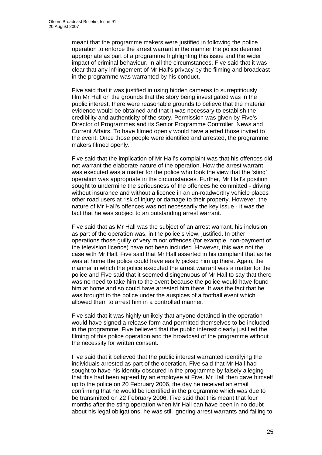meant that the programme makers were justified in following the police operation to enforce the arrest warrant in the manner the police deemed appropriate as part of a programme highlighting this issue and the wider impact of criminal behaviour. In all the circumstances, Five said that it was clear that any infringement of Mr Hall's privacy by the filming and broadcast in the programme was warranted by his conduct.

Five said that it was justified in using hidden cameras to surreptitiously film Mr Hall on the grounds that the story being investigated was in the public interest, there were reasonable grounds to believe that the material evidence would be obtained and that it was necessary to establish the credibility and authenticity of the story. Permission was given by Five's Director of Programmes and its Senior Programme Controller, News and Current Affairs. To have filmed openly would have alerted those invited to the event. Once those people were identified and arrested, the programme makers filmed openly.

Five said that the implication of Mr Hall's complaint was that his offences did not warrant the elaborate nature of the operation. How the arrest warrant was executed was a matter for the police who took the view that the 'sting' operation was appropriate in the circumstances. Further, Mr Hall's position sought to undermine the seriousness of the offences he committed - driving without insurance and without a licence in an un-roadworthy vehicle places other road users at risk of injury or damage to their property. However, the nature of Mr Hall's offences was not necessarily the key issue - it was the fact that he was subject to an outstanding arrest warrant.

Five said that as Mr Hall was the subject of an arrest warrant, his inclusion as part of the operation was, in the police's view, justified. In other operations those guilty of very minor offences (for example, non-payment of the television licence) have not been included. However, this was not the case with Mr Hall. Five said that Mr Hall asserted in his complaint that as he was at home the police could have easily picked him up there. Again, the manner in which the police executed the arrest warrant was a matter for the police and Five said that it seemed disingenuous of Mr Hall to say that there was no need to take him to the event because the police would have found him at home and so could have arrested him there. It was the fact that he was brought to the police under the auspices of a football event which allowed them to arrest him in a controlled manner.

Five said that it was highly unlikely that anyone detained in the operation would have signed a release form and permitted themselves to be included in the programme. Five believed that the public interest clearly justified the filming of this police operation and the broadcast of the programme without the necessity for written consent.

Five said that it believed that the public interest warranted identifying the individuals arrested as part of the operation. Five said that Mr Hall had sought to have his identity obscured in the programme by falsely alleging that this had been agreed by an employee at Five. Mr Hall then gave himself up to the police on 20 February 2006, the day he received an email confirming that he would be identified in the programme which was due to be transmitted on 22 February 2006. Five said that this meant that four months after the sting operation when Mr Hall can have been in no doubt about his legal obligations, he was still ignoring arrest warrants and failing to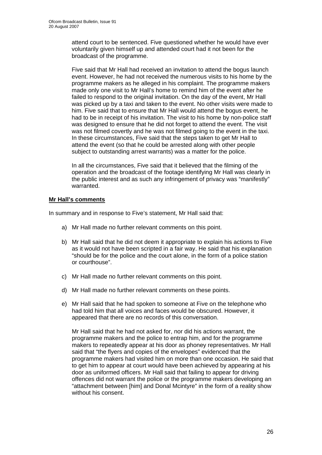attend court to be sentenced. Five questioned whether he would have ever voluntarily given himself up and attended court had it not been for the broadcast of the programme.

Five said that Mr Hall had received an invitation to attend the bogus launch event. However, he had not received the numerous visits to his home by the programme makers as he alleged in his complaint. The programme makers made only one visit to Mr Hall's home to remind him of the event after he failed to respond to the original invitation. On the day of the event, Mr Hall was picked up by a taxi and taken to the event. No other visits were made to him. Five said that to ensure that Mr Hall would attend the bogus event, he had to be in receipt of his invitation. The visit to his home by non-police staff was designed to ensure that he did not forget to attend the event. The visit was not filmed covertly and he was not filmed going to the event in the taxi. In these circumstances, Five said that the steps taken to get Mr Hall to attend the event (so that he could be arrested along with other people subject to outstanding arrest warrants) was a matter for the police.

In all the circumstances, Five said that it believed that the filming of the operation and the broadcast of the footage identifying Mr Hall was clearly in the public interest and as such any infringement of privacy was "manifestly" warranted.

### **Mr Hall's comments**

In summary and in response to Five's statement, Mr Hall said that:

- a) Mr Hall made no further relevant comments on this point.
- b) Mr Hall said that he did not deem it appropriate to explain his actions to Five as it would not have been scripted in a fair way. He said that his explanation "should be for the police and the court alone, in the form of a police station or courthouse".
- c) Mr Hall made no further relevant comments on this point.
- d) Mr Hall made no further relevant comments on these points.
- e) Mr Hall said that he had spoken to someone at Five on the telephone who had told him that all voices and faces would be obscured. However, it appeared that there are no records of this conversation.

Mr Hall said that he had not asked for, nor did his actions warrant, the programme makers and the police to entrap him, and for the programme makers to repeatedly appear at his door as phoney representatives. Mr Hall said that "the flyers and copies of the envelopes" evidenced that the programme makers had visited him on more than one occasion. He said that to get him to appear at court would have been achieved by appearing at his door as uniformed officers. Mr Hall said that failing to appear for driving offences did not warrant the police or the programme makers developing an "attachment between [him] and Donal Mcintyre" in the form of a reality show without his consent.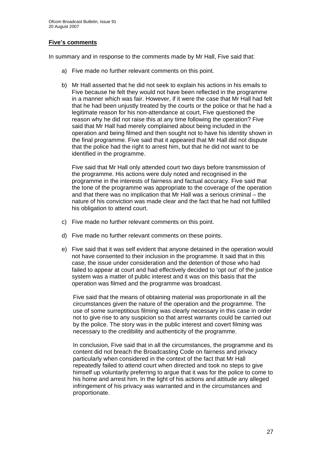### **Five's comments**

In summary and in response to the comments made by Mr Hall, Five said that:

- a) Five made no further relevant comments on this point.
- b) Mr Hall asserted that he did not seek to explain his actions in his emails to Five because he felt they would not have been reflected in the programme in a manner which was fair. However, if it were the case that Mr Hall had felt that he had been unjustly treated by the courts or the police or that he had a legitimate reason for his non-attendance at court, Five questioned the reason why he did not raise this at any time following the operation? Five said that Mr Hall had merely complained about being included in the operation and being filmed and then sought not to have his identity shown in the final programme. Five said that it appeared that Mr Hall did not dispute that the police had the right to arrest him, but that he did not want to be identified in the programme.

Five said that Mr Hall only attended court two days before transmission of the programme. His actions were duly noted and recognised in the programme in the interests of fairness and factual accuracy. Five said that the tone of the programme was appropriate to the coverage of the operation and that there was no implication that Mr Hall was a serious criminal – the nature of his conviction was made clear and the fact that he had not fulfilled his obligation to attend court.

- c) Five made no further relevant comments on this point.
- d) Five made no further relevant comments on these points.
- e) Five said that it was self evident that anyone detained in the operation would not have consented to their inclusion in the programme. It said that in this case, the issue under consideration and the detention of those who had failed to appear at court and had effectively decided to 'opt out' of the justice system was a matter of public interest and it was on this basis that the operation was filmed and the programme was broadcast.

Five said that the means of obtaining material was proportionate in all the circumstances given the nature of the operation and the programme. The use of some surreptitious filming was clearly necessary in this case in order not to give rise to any suspicion so that arrest warrants could be carried out by the police. The story was in the public interest and covert filming was necessary to the credibility and authenticity of the programme.

In conclusion, Five said that in all the circumstances, the programme and its content did not breach the Broadcasting Code on fairness and privacy particularly when considered in the context of the fact that Mr Hall repeatedly failed to attend court when directed and took no steps to give himself up voluntarily preferring to argue that it was for the police to come to his home and arrest him. In the light of his actions and attitude any alleged infringement of his privacy was warranted and in the circumstances and proportionate.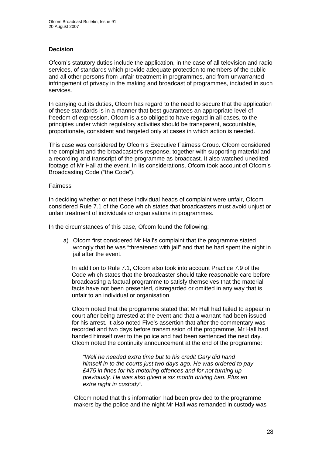### **Decision**

Ofcom's statutory duties include the application, in the case of all television and radio services, of standards which provide adequate protection to members of the public and all other persons from unfair treatment in programmes, and from unwarranted infringement of privacy in the making and broadcast of programmes, included in such services.

In carrying out its duties, Ofcom has regard to the need to secure that the application of these standards is in a manner that best guarantees an appropriate level of freedom of expression. Ofcom is also obliged to have regard in all cases, to the principles under which regulatory activities should be transparent, accountable, proportionate, consistent and targeted only at cases in which action is needed.

This case was considered by Ofcom's Executive Fairness Group. Ofcom considered the complaint and the broadcaster's response, together with supporting material and a recording and transcript of the programme as broadcast. It also watched unedited footage of Mr Hall at the event. In its considerations, Ofcom took account of Ofcom's Broadcasting Code ("the Code").

### Fairness

In deciding whether or not these individual heads of complaint were unfair, Ofcom considered Rule 7.1 of the Code which states that broadcasters must avoid unjust or unfair treatment of individuals or organisations in programmes.

In the circumstances of this case, Ofcom found the following:

a) Ofcom first considered Mr Hall's complaint that the programme stated wrongly that he was "threatened with jail" and that he had spent the night in jail after the event.

 In addition to Rule 7.1, Ofcom also took into account Practice 7.9 of the Code which states that the broadcaster should take reasonable care before broadcasting a factual programme to satisfy themselves that the material facts have not been presented, disregarded or omitted in any way that is unfair to an individual or organisation.

Ofcom noted that the programme stated that Mr Hall had failed to appear in court after being arrested at the event and that a warrant had been issued for his arrest. It also noted Five's assertion that after the commentary was recorded and two days before transmission of the programme, Mr Hall had handed himself over to the police and had been sentenced the next day. Ofcom noted the continuity announcement at the end of the programme:

*"Well he needed extra time but to his credit Gary did hand himself in to the courts just two days ago. He was ordered to pay £475 in fines for his motoring offences and for not turning up previously. He was also given a six month driving ban. Plus an extra night in custody".* 

Ofcom noted that this information had been provided to the programme makers by the police and the night Mr Hall was remanded in custody was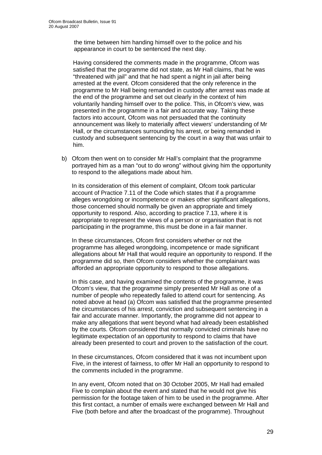the time between him handing himself over to the police and his appearance in court to be sentenced the next day.

Having considered the comments made in the programme, Ofcom was satisfied that the programme did not state, as Mr Hall claims, that he was "threatened with jail" and that he had spent a night in jail after being arrested at the event. Ofcom considered that the only reference in the programme to Mr Hall being remanded in custody after arrest was made at the end of the programme and set out clearly in the context of him voluntarily handing himself over to the police. This, in Ofcom's view, was presented in the programme in a fair and accurate way. Taking these factors into account, Ofcom was not persuaded that the continuity announcement was likely to materially affect viewers' understanding of Mr Hall, or the circumstances surrounding his arrest, or being remanded in custody and subsequent sentencing by the court in a way that was unfair to him.

b) Ofcom then went on to consider Mr Hall's complaint that the programme portrayed him as a man "out to do wrong" without giving him the opportunity to respond to the allegations made about him.

In its consideration of this element of complaint, Ofcom took particular account of Practice 7.11 of the Code which states that if a programme alleges wrongdoing or incompetence or makes other significant allegations, those concerned should normally be given an appropriate and timely opportunity to respond. Also, according to practice 7.13, where it is appropriate to represent the views of a person or organisation that is not participating in the programme, this must be done in a fair manner.

In these circumstances, Ofcom first considers whether or not the programme has alleged wrongdoing, incompetence or made significant allegations about Mr Hall that would require an opportunity to respond. If the programme did so, then Ofcom considers whether the complainant was afforded an appropriate opportunity to respond to those allegations.

In this case, and having examined the contents of the programme, it was Ofcom's view, that the programme simply presented Mr Hall as one of a number of people who repeatedly failed to attend court for sentencing. As noted above at head (a) Ofcom was satisfied that the programme presented the circumstances of his arrest, conviction and subsequent sentencing in a fair and accurate manner. Importantly, the programme did not appear to make any allegations that went beyond what had already been established by the courts. Ofcom considered that normally convicted criminals have no legitimate expectation of an opportunity to respond to claims that have already been presented to court and proven to the satisfaction of the court.

In these circumstances, Ofcom considered that it was not incumbent upon Five, in the interest of fairness, to offer Mr Hall an opportunity to respond to the comments included in the programme.

In any event, Ofcom noted that on 30 October 2005, Mr Hall had emailed Five to complain about the event and stated that he would not give his permission for the footage taken of him to be used in the programme. After this first contact, a number of emails were exchanged between Mr Hall and Five (both before and after the broadcast of the programme). Throughout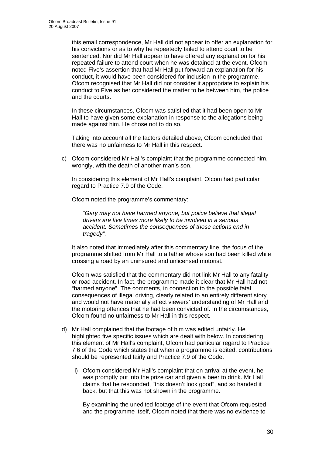this email correspondence, Mr Hall did not appear to offer an explanation for his convictions or as to why he repeatedly failed to attend court to be sentenced. Nor did Mr Hall appear to have offered any explanation for his repeated failure to attend court when he was detained at the event. Ofcom noted Five's assertion that had Mr Hall put forward an explanation for his conduct, it would have been considered for inclusion in the programme. Ofcom recognised that Mr Hall did not consider it appropriate to explain his conduct to Five as her considered the matter to be between him, the police and the courts.

In these circumstances, Ofcom was satisfied that it had been open to Mr Hall to have given some explanation in response to the allegations being made against him. He chose not to do so.

Taking into account all the factors detailed above, Ofcom concluded that there was no unfairness to Mr Hall in this respect.

c) Ofcom considered Mr Hall's complaint that the programme connected him, wrongly, with the death of another man's son.

In considering this element of Mr Hall's complaint, Ofcom had particular regard to Practice 7.9 of the Code.

Ofcom noted the programme's commentary:

*"Gary may not have harmed anyone, but police believe that illegal drivers are five times more likely to be involved in a serious accident. Sometimes the consequences of those actions end in tragedy".* 

It also noted that immediately after this commentary line, the focus of the programme shifted from Mr Hall to a father whose son had been killed while crossing a road by an uninsured and unlicensed motorist.

Ofcom was satisfied that the commentary did not link Mr Hall to any fatality or road accident. In fact, the programme made it clear that Mr Hall had not "harmed anyone". The comments, in connection to the possible fatal consequences of illegal driving, clearly related to an entirely different story and would not have materially affect viewers' understanding of Mr Hall and the motoring offences that he had been convicted of. In the circumstances, Ofcom found no unfairness to Mr Hall in this respect.

- d) Mr Hall complained that the footage of him was edited unfairly. He highlighted five specific issues which are dealt with below. In considering this element of Mr Hall's complaint, Ofcom had particular regard to Practice 7.6 of the Code which states that when a programme is edited, contributions should be represented fairly and Practice 7.9 of the Code.
	- i) Ofcom considered Mr Hall's complaint that on arrival at the event, he was promptly put into the prize car and given a beer to drink. Mr Hall claims that he responded, "this doesn't look good", and so handed it back, but that this was not shown in the programme.

By examining the unedited footage of the event that Ofcom requested and the programme itself, Ofcom noted that there was no evidence to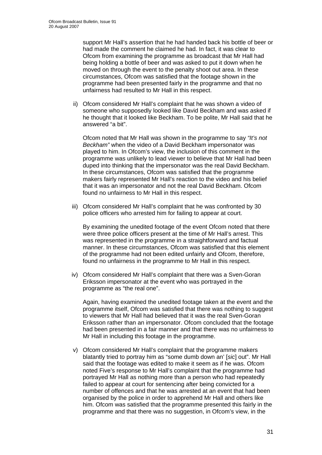support Mr Hall's assertion that he had handed back his bottle of beer or had made the comment he claimed he had. In fact, it was clear to Ofcom from examining the programme as broadcast that Mr Hall had being holding a bottle of beer and was asked to put it down when he moved on through the event to the penalty shoot out area. In these circumstances, Ofcom was satisfied that the footage shown in the programme had been presented fairly in the programme and that no unfairness had resulted to Mr Hall in this respect.

ii) Ofcom considered Mr Hall's complaint that he was shown a video of someone who supposedly looked like David Beckham and was asked if he thought that it looked like Beckham. To be polite, Mr Hall said that he answered "a bit".

Ofcom noted that Mr Hall was shown in the programme to say *"It's not Beckham"* when the video of a David Beckham impersonator was played to him. In Ofcom's view, the inclusion of this comment in the programme was unlikely to lead viewer to believe that Mr Hall had been duped into thinking that the impersonator was the real David Beckham. In these circumstances, Ofcom was satisfied that the programme makers fairly represented Mr Hall's reaction to the video and his belief that it was an impersonator and not the real David Beckham. Ofcom found no unfairness to Mr Hall in this respect.

iii) Ofcom considered Mr Hall's complaint that he was confronted by 30 police officers who arrested him for failing to appear at court.

By examining the unedited footage of the event Ofcom noted that there were three police officers present at the time of Mr Hall's arrest. This was represented in the programme in a straightforward and factual manner. In these circumstances, Ofcom was satisfied that this element of the programme had not been edited unfairly and Ofcom, therefore, found no unfairness in the programme to Mr Hall in this respect.

iv) Ofcom considered Mr Hall's complaint that there was a Sven-Goran Eriksson impersonator at the event who was portrayed in the programme as "the real one".

Again, having examined the unedited footage taken at the event and the programme itself, Ofcom was satisfied that there was nothing to suggest to viewers that Mr Hall had believed that it was the real Sven-Goran Eriksson rather than an impersonator. Ofcom concluded that the footage had been presented in a fair manner and that there was no unfairness to Mr Hall in including this footage in the programme.

v) Ofcom considered Mr Hall's complaint that the programme makers blatantly tried to portray him as "some dumb down an' [*sic*] out". Mr Hall said that the footage was edited to make it seem as if he was. Ofcom noted Five's response to Mr Hall's complaint that the programme had portrayed Mr Hall as nothing more than a person who had repeatedly failed to appear at court for sentencing after being convicted for a number of offences and that he was arrested at an event that had been organised by the police in order to apprehend Mr Hall and others like him. Ofcom was satisfied that the programme presented this fairly in the programme and that there was no suggestion, in Ofcom's view, in the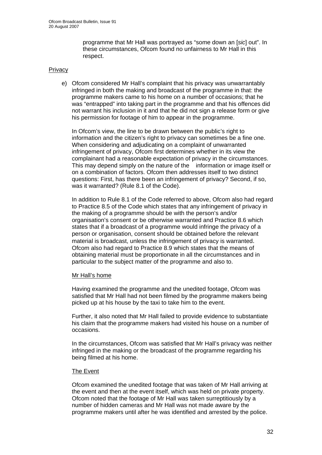programme that Mr Hall was portrayed as "some down an [*sic*] out". In these circumstances, Ofcom found no unfairness to Mr Hall in this respect.

### **Privacy**

e) Ofcom considered Mr Hall's complaint that his privacy was unwarrantably infringed in both the making and broadcast of the programme in that: the programme makers came to his home on a number of occasions; that he was "entrapped" into taking part in the programme and that his offences did not warrant his inclusion in it and that he did not sign a release form or give his permission for footage of him to appear in the programme.

In Ofcom's view, the line to be drawn between the public's right to information and the citizen's right to privacy can sometimes be a fine one. When considering and adjudicating on a complaint of unwarranted infringement of privacy, Ofcom first determines whether in its view the complainant had a reasonable expectation of privacy in the circumstances. This may depend simply on the nature of the information or image itself or on a combination of factors. Ofcom then addresses itself to two distinct questions: First, has there been an infringement of privacy? Second, if so, was it warranted? (Rule 8.1 of the Code).

In addition to Rule 8.1 of the Code referred to above, Ofcom also had regard to Practice 8.5 of the Code which states that any infringement of privacy in the making of a programme should be with the person's and/or organisation's consent or be otherwise warranted and Practice 8.6 which states that if a broadcast of a programme would infringe the privacy of a person or organisation, consent should be obtained before the relevant material is broadcast, unless the infringement of privacy is warranted. Ofcom also had regard to Practice 8.9 which states that the means of obtaining material must be proportionate in all the circumstances and in particular to the subject matter of the programme and also to.

### Mr Hall's home

Having examined the programme and the unedited footage, Ofcom was satisfied that Mr Hall had not been filmed by the programme makers being picked up at his house by the taxi to take him to the event.

Further, it also noted that Mr Hall failed to provide evidence to substantiate his claim that the programme makers had visited his house on a number of occasions.

In the circumstances, Ofcom was satisfied that Mr Hall's privacy was neither infringed in the making or the broadcast of the programme regarding his being filmed at his home.

### The Event

Ofcom examined the unedited footage that was taken of Mr Hall arriving at the event and then at the event itself, which was held on private property. Ofcom noted that the footage of Mr Hall was taken surreptitiously by a number of hidden cameras and Mr Hall was not made aware by the programme makers until after he was identified and arrested by the police.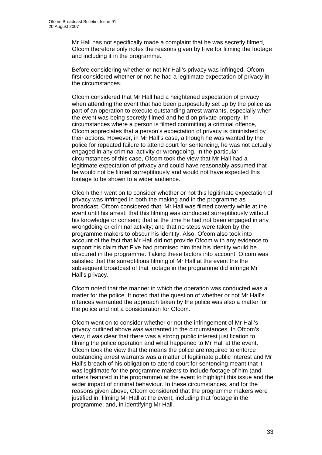Mr Hall has not specifically made a complaint that he was secretly filmed, Ofcom therefore only notes the reasons given by Five for filming the footage and including it in the programme.

Before considering whether or not Mr Hall's privacy was infringed, Ofcom first considered whether or not he had a legitimate expectation of privacy in the circumstances.

Ofcom considered that Mr Hall had a heightened expectation of privacy when attending the event that had been purposefully set up by the police as part of an operation to execute outstanding arrest warrants, especially when the event was being secretly filmed and held on private property. In circumstances where a person is filmed committing a criminal offence, Ofcom appreciates that a person's expectation of privacy is diminished by their actions. However, in Mr Hall's case, although he was wanted by the police for repeated failure to attend court for sentencing, he was not actually engaged in any criminal activity or wrongdoing. In the particular circumstances of this case, Ofcom took the view that Mr Hall had a legitimate expectation of privacy and could have reasonably assumed that he would not be filmed surreptitiously and would not have expected this footage to be shown to a wider audience.

Ofcom then went on to consider whether or not this legitimate expectation of privacy was infringed in both the making and in the programme as broadcast. Ofcom considered that: Mr Hall was filmed covertly while at the event until his arrest; that this filming was conducted surreptitiously without his knowledge or consent; that at the time he had not been engaged in any wrongdoing or criminal activity; and that no steps were taken by the programme makers to obscur his identity. Also, Ofcom also took into account of the fact that Mr Hall did not provide Ofcom with any evidence to support his claim that Five had promised him that his identity would be obscured in the programme. Taking these factors into account, Ofcom was satisfied that the surreptitious filming of Mr Hall at the event the the subsequent broadcast of that footage in the programme did infringe Mr Hall's privacy.

Ofcom noted that the manner in which the operation was conducted was a matter for the police. It noted that the question of whether or not Mr Hall's offences warranted the approach taken by the police was also a matter for the police and not a consideration for Ofcom.

Ofcom went on to consider whether or not the infringement of Mr Hall's privacy outlined above was warranted in the circumstances. In Ofcom's view, it was clear that there was a strong public interest justification to filming the police operation and what happened to Mr Hall at the event. Ofcom took the view that the means the police are required to enforce outstanding arrest warrants was a matter of legitimate public interest and Mr Hall's breach of his obligation to attend court for sentencing meant that it was legitimate for the programme makers to include footage of him (and others featured in the programme) at the event to highlight this issue and the wider impact of criminal behaviour. In these circumstances, and for the reasons given above, Ofcom considered that the programme makers were justified in: filming Mr Hall at the event; including that footage in the programme; and, in identifying Mr Hall.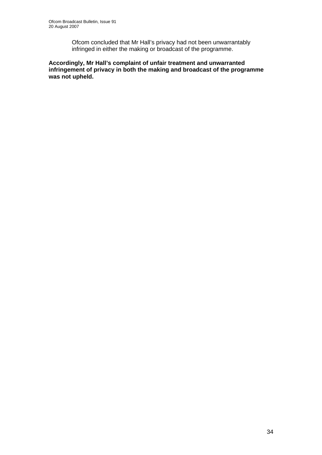Ofcom concluded that Mr Hall's privacy had not been unwarrantably infringed in either the making or broadcast of the programme.

**Accordingly, Mr Hall's complaint of unfair treatment and unwarranted infringement of privacy in both the making and broadcast of the programme was not upheld.**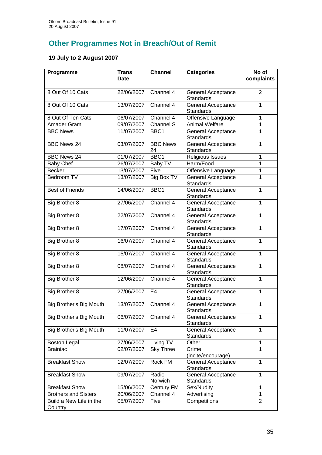# **Other Programmes Not in Breach/Out of Remit**

# **19 July to 2 August 2007**

| Programme                          | <b>Trans</b><br><b>Date</b> | <b>Channel</b>         | <b>Categories</b>                             | No of<br>complaints |
|------------------------------------|-----------------------------|------------------------|-----------------------------------------------|---------------------|
|                                    |                             |                        |                                               |                     |
| 8 Out Of 10 Cats                   | 22/06/2007                  | Channel 4              | General Acceptance<br><b>Standards</b>        | 2                   |
| 8 Out Of 10 Cats                   | 13/07/2007                  | Channel 4              | General Acceptance                            | 1                   |
|                                    |                             |                        | <b>Standards</b>                              |                     |
| 8 Out Of Ten Cats                  | 06/07/2007                  | Channel 4              | Offensive Language                            | $\mathbf{1}$        |
| Amader Gram                        | 09/07/2007                  | Channel S              | <b>Animal Welfare</b>                         | $\overline{1}$      |
| <b>BBC News</b>                    | 11/07/2007                  | BBC1                   | General Acceptance<br><b>Standards</b>        | 1                   |
| <b>BBC News 24</b>                 | 03/07/2007                  | <b>BBC News</b><br>24  | <b>General Acceptance</b><br>Standards        | $\mathbf{1}$        |
| <b>BBC News 24</b>                 | 01/07/2007                  | BBC1                   | Religious Issues                              | 1                   |
| <b>Baby Chef</b>                   | 26/07/2007                  | Baby TV                | Harm/Food                                     | 1                   |
| <b>Becker</b>                      | 13/07/2007                  | Five                   | Offensive Language                            | $\mathbf 1$         |
| <b>Bedroom TV</b>                  | 13/07/2007                  | Big Box TV             | <b>General Acceptance</b><br><b>Standards</b> | 1                   |
| <b>Best of Friends</b>             | 14/06/2007                  | BBC <sub>1</sub>       | <b>General Acceptance</b><br><b>Standards</b> | 1                   |
| Big Brother 8                      | 27/06/2007                  | Channel 4              | General Acceptance<br><b>Standards</b>        | 1                   |
| Big Brother 8                      | 22/07/2007                  | Channel 4              | General Acceptance<br><b>Standards</b>        | 1                   |
| Big Brother 8                      | 17/07/2007                  | Channel 4              | <b>General Acceptance</b><br><b>Standards</b> | 1                   |
| Big Brother 8                      | 16/07/2007                  | Channel 4              | General Acceptance<br><b>Standards</b>        | 1                   |
| Big Brother 8                      | 15/07/2007                  | Channel 4              | General Acceptance<br>Standards               | 1                   |
| Big Brother 8                      | 08/07/2007                  | Channel 4              | <b>General Acceptance</b><br>Standards        | $\mathbf{1}$        |
| Big Brother 8                      | 12/06/2007                  | Channel 4              | General Acceptance<br>Standards               | 1                   |
| Big Brother 8                      | 27/06/2007                  | E4                     | General Acceptance<br>Standards               | $\mathbf{1}$        |
| Big Brother's Big Mouth            | 13/07/2007                  | Channel 4              | <b>General Acceptance</b><br>Standards        | 1                   |
| Big Brother's Big Mouth            | 06/07/2007                  | Channel 4              | <b>General Acceptance</b><br><b>Standards</b> | 1                   |
| Big Brother's Big Mouth            | 11/07/2007                  | E4                     | <b>General Acceptance</b><br>Standards        | 1                   |
| <b>Boston Legal</b>                | 27/06/2007                  | Living $T\overline{V}$ | Other                                         | 1                   |
| <b>Brainiac</b>                    | 02/07/2007                  | <b>Sky Three</b>       | Crime                                         | 1                   |
|                                    |                             |                        | (incite/encourage)                            |                     |
| <b>Breakfast Show</b>              | 12/07/2007                  | Rock FM                | General Acceptance<br>Standards               | $\mathbf{1}$        |
| <b>Breakfast Show</b>              | 09/07/2007                  | Radio<br>Norwich       | General Acceptance<br>Standards               | 1                   |
| <b>Breakfast Show</b>              | 15/06/2007                  | Century FM             | Sex/Nudity                                    | 1                   |
| <b>Brothers and Sisters</b>        | 20/06/2007                  | Channel 4              | Advertising                                   | 1                   |
| Build a New Life in the<br>Country | 05/07/2007                  | Five                   | Competitions                                  | $\overline{2}$      |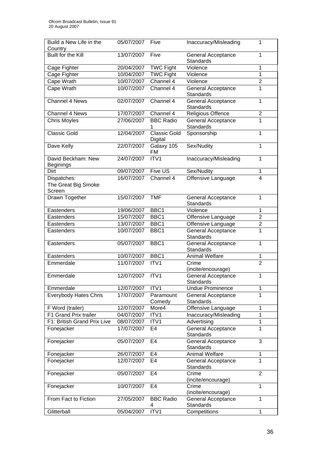| Build a New Life in the                | 05/07/2007 | Five                           | Inaccuracy/Misleading                  | 1                       |
|----------------------------------------|------------|--------------------------------|----------------------------------------|-------------------------|
| Country                                |            |                                |                                        |                         |
| Built for the Kill                     | 13/07/2007 | Five                           | General Acceptance                     | 1                       |
|                                        |            |                                | <b>Standards</b>                       |                         |
| Cage Fighter                           | 20/04/2007 | <b>TWC Fight</b>               | Violence                               | 1                       |
| Cage Fighter                           | 10/04/2007 | TWC Fight                      | Violence                               | $\mathbf{1}$            |
| Cape Wrath                             | 10/07/2007 | Channel 4                      | Violence                               | $\overline{c}$          |
| Cape Wrath                             | 10/07/2007 | Channel 4                      | General Acceptance<br><b>Standards</b> | 1                       |
| <b>Channel 4 News</b>                  | 02/07/2007 | Channel 4                      | General Acceptance                     | 1                       |
|                                        |            |                                | Standards                              |                         |
| Channel 4 News                         | 17/07/2007 | Channel 4                      | Religious Offence                      | $\boldsymbol{2}$        |
| <b>Chris Moyles</b>                    | 27/06/2007 | <b>BBC Radio</b>               | General Acceptance                     | 1                       |
|                                        |            |                                | Standards                              |                         |
| <b>Classic Gold</b>                    | 12/04/2007 | <b>Classic Gold</b><br>Digital | Sponsorship                            | 1                       |
| Dave Kelly                             | 22/07/2007 | Galaxy 105<br>FM               | Sex/Nudity                             | 1                       |
| David Beckham: New<br><b>Beginings</b> | 24/07/2007 | ITV1                           | Inaccuracy/Misleading                  | 1                       |
| Dirt                                   | 09/07/2007 | Five US                        | Sex/Nudity                             | 1                       |
| Dispatches:                            | 16/07/2007 | Channel 4                      | Offensive Language                     | $\overline{\mathbf{4}}$ |
| The Great Big Smoke                    |            |                                |                                        |                         |
| Screen                                 |            |                                |                                        |                         |
| Drawn Together                         | 15/07/2007 | <b>TMF</b>                     | <b>General Acceptance</b>              | 1                       |
|                                        |            |                                | <b>Standards</b>                       |                         |
| Eastenders                             | 19/06/2007 | BBC1                           | Violence                               | $\mathbf{1}$            |
| Eastenders                             | 15/07/2007 | BBC1                           | Offensive Language                     | $\overline{2}$          |
| Eastenders                             | 13/07/2007 | BBC1                           | Offensive Language                     | $\overline{2}$          |
| Eastenders                             | 10/07/2007 | BBC1                           | General Acceptance                     | 1                       |
|                                        |            |                                | Standards                              |                         |
| Eastenders                             | 05/07/2007 | BBC1                           | General Acceptance                     | 1                       |
|                                        |            |                                | Standards                              |                         |
| Eastenders                             | 10/07/2007 | BBC1                           | Animal Welfare                         | 1                       |
| Emmerdale                              | 11/07/2007 | ITV1                           | Crime                                  | $\overline{2}$          |
|                                        |            |                                | (incite/encourage)                     |                         |
| Emmerdale                              | 12/07/2007 | ITV1                           | <b>General Acceptance</b>              | $\mathbf{1}$            |
|                                        |            |                                | Standards                              |                         |
| Emmerdale                              | 12/07/2007 | ITV1                           | <b>Undue Prominence</b>                | 1                       |
| <b>Everybody Hates Chris</b>           | 17/07/2007 | Paramount                      | General Acceptance                     | 1                       |
|                                        |            | Comedy                         | <b>Standards</b>                       |                         |
| F Word (trailer)                       | 12/07/2007 | More4                          | Offensive Language                     | 1                       |
| F1 Grand Prix trailer                  | 04/07/2007 | ITV1                           | Inaccuracy/Misleading                  | 1                       |
| F1: British Grand Prix Live            | 08/07/2007 | ITV1                           | Advertising                            | 1                       |
| Fonejacker                             | 17/07/2007 | E <sub>4</sub>                 | <b>General Acceptance</b>              | 1                       |
|                                        |            |                                | Standards                              |                         |
| Fonejacker                             | 05/07/2007 | E4                             | General Acceptance                     | 3                       |
|                                        |            |                                | Standards                              |                         |
| Fonejacker                             | 26/07/2007 | E <sub>4</sub>                 | <b>Animal Welfare</b>                  | 1                       |
| Fonejacker                             | 12/07/2007 | E <sub>4</sub>                 | General Acceptance                     | 1                       |
|                                        |            |                                | Standards                              |                         |
| Fonejacker                             | 05/07/2007 | E <sub>4</sub>                 | Crime                                  | 2                       |
|                                        |            |                                | (incite/encourage)                     |                         |
| Fonejacker                             | 10/07/2007 | E4                             | Crime                                  | 1                       |
| From Fact to Fiction                   | 27/05/2007 | <b>BBC Radio</b>               | (incite/encourage)                     | 1                       |
|                                        |            |                                | General Acceptance<br><b>Standards</b> |                         |
| Glitterball                            | 05/04/2007 | 4<br>ITV1                      | Competitions                           | 1                       |
|                                        |            |                                |                                        |                         |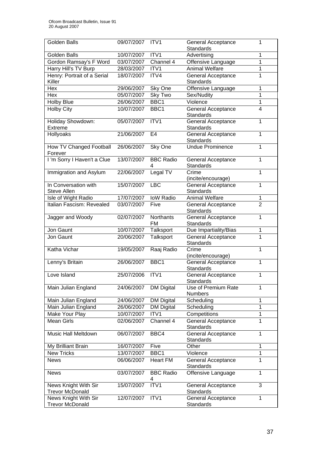| <b>Golden Balls</b>                            | 09/07/2007 | ITV <sub>1</sub>      | <b>General Acceptance</b><br>Standards        | 1              |
|------------------------------------------------|------------|-----------------------|-----------------------------------------------|----------------|
| <b>Golden Balls</b>                            | 10/07/2007 | ITV1                  | Advertising                                   | 1              |
| Gordon Ramsay's F Word                         | 03/07/2007 | Channel 4             | Offensive Language                            | 1              |
| Harry Hill's TV Burp                           | 28/03/2007 | ITV1                  | <b>Animal Welfare</b>                         | 1              |
| Henry: Portrait of a Serial                    | 18/07/2007 | ITV4                  | General Acceptance                            | 1              |
| Killer                                         |            |                       | Standards                                     |                |
| Hex                                            | 29/06/2007 | Sky One               | Offensive Language                            | 1              |
| Hex                                            | 05/07/2007 | Sky Two               | Sex/Nudity                                    | 1              |
| <b>Holby Blue</b>                              | 26/06/2007 | BBC <sub>1</sub>      | Violence                                      | 1              |
| <b>Holby City</b>                              | 10/07/2007 | BBC1                  | General Acceptance<br><b>Standards</b>        | 4              |
| Holiday Showdown:<br>Extreme                   | 05/07/2007 | ITV1                  | General Acceptance<br>Standards               | 1              |
| Hollyoaks                                      | 21/06/2007 | E4                    | General Acceptance<br>Standards               | 1              |
| How TV Changed Football<br>Forever             | 26/06/2007 | Sky One               | <b>Undue Prominence</b>                       | 1              |
| I'm Sorry I Haven't a Clue                     | 13/07/2007 | <b>BBC Radio</b>      | General Acceptance<br><b>Standards</b>        | 1              |
| Immigration and Asylum                         | 22/06/2007 | Legal TV              | Crime<br>(incite/encourage)                   | 1              |
| In Conversation with<br>Steve Allen            | 15/07/2007 | <b>LBC</b>            | <b>General Acceptance</b><br><b>Standards</b> | 1              |
| Isle of Wight Radio                            | 17/07/2007 | <b>IoW Radio</b>      | <b>Animal Welfare</b>                         | $\mathbf{1}$   |
| Italian Fascism: Revealed                      | 03/07/2007 | Five                  | General Acceptance<br><b>Standards</b>        | $\overline{2}$ |
| Jagger and Woody                               | 02/07/2007 | Northants<br>FM       | General Acceptance<br>Standards               | 1              |
| Jon Gaunt                                      | 10/07/2007 | Talksport             | Due Impartiality/Bias                         | 1              |
| Jon Gaunt                                      | 20/06/2007 | Talksport             | <b>General Acceptance</b><br>Standards        | 1              |
| Katha Vichar                                   | 19/05/2007 | Raaj Radio            | Crime<br>(incite/encourage)                   | 1              |
| Lenny's Britain                                | 26/06/2007 | BBC1                  | General Acceptance<br><b>Standards</b>        | 1              |
| Love Island                                    | 25/07/2006 | ITV1                  | General Acceptance<br>Standards               | 1              |
| Main Julian England                            | 24/06/2007 | <b>DM Digital</b>     | Use of Premium Rate<br>Numbers                | 1              |
| Main Julian England                            | 24/06/2007 | <b>DM Digital</b>     | Scheduling                                    | 1              |
| Main Julian England                            | 26/06/2007 | <b>DM Digital</b>     | Scheduling                                    | 1              |
| Make Your Play                                 | 10/07/2007 | ITV1                  | Competitions                                  | 1              |
| <b>Mean Girls</b>                              | 02/06/2007 | Channel 4             | General Acceptance<br><b>Standards</b>        | 1              |
| Music Hall Meltdown                            | 06/07/2007 | BBC4                  | General Acceptance<br><b>Standards</b>        | 1              |
| My Brilliant Brain                             | 16/07/2007 | Five                  | Other                                         | 1              |
| <b>New Tricks</b>                              | 13/07/2007 | BBC1                  | Violence                                      | 1              |
| <b>News</b>                                    | 06/06/2007 | <b>Heart FM</b>       | <b>General Acceptance</b><br><b>Standards</b> | 1              |
| <b>News</b>                                    | 03/07/2007 | <b>BBC Radio</b><br>4 | Offensive Language                            | 1              |
| News Knight With Sir<br><b>Trevor McDonald</b> | 15/07/2007 | ITV1                  | General Acceptance<br><b>Standards</b>        | 3              |
| News Knight With Sir<br><b>Trevor McDonald</b> | 12/07/2007 | ITV1                  | General Acceptance<br><b>Standards</b>        | 1              |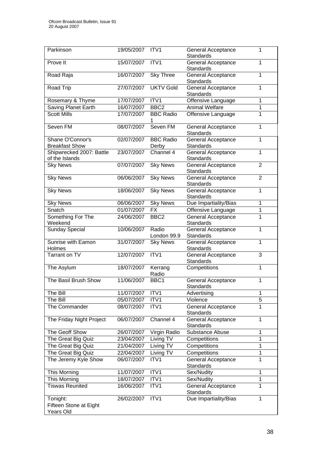| Parkinson                                  | 19/05/2007 ITV1 |                           | <b>General Acceptance</b><br><b>Standards</b> | 1              |
|--------------------------------------------|-----------------|---------------------------|-----------------------------------------------|----------------|
| Prove It                                   | 15/07/2007 ITV1 |                           | General Acceptance<br>Standards               | 1              |
| Road Raja                                  | 16/07/2007      | <b>Sky Three</b>          | <b>General Acceptance</b><br>Standards        | 1              |
| Road Trip                                  | 27/07/2007      | <b>UKTV Gold</b>          | <b>General Acceptance</b><br><b>Standards</b> | $\mathbf{1}$   |
| Rosemary & Thyme                           | 17/07/2007      | ITV1                      | Offensive Language                            | 1              |
| <b>Saving Planet Earth</b>                 | 16/07/2007      | BBC <sub>2</sub>          | <b>Animal Welfare</b>                         | $\overline{1}$ |
| <b>Scott Mills</b>                         | 17/07/2007      | <b>BBC Radio</b>          | Offensive Language                            | 1              |
| Seven <sub>FM</sub>                        | 08/07/2007      | Seven FM                  | General Acceptance<br><b>Standards</b>        | 1              |
| Shane O'Connor's<br><b>Breakfast Show</b>  | 02/07/2007      | <b>BBC Radio</b><br>Derby | General Acceptance<br>Standards               | 1              |
| Shipwrecked 2007: Battle<br>of the Islands | 23/07/2007      | Channel 4                 | General Acceptance<br>Standards               | 1              |
| <b>Sky News</b>                            | 07/07/2007      | <b>Sky News</b>           | <b>General Acceptance</b><br>Standards        | $\overline{2}$ |
| <b>Sky News</b>                            | 06/06/2007      | <b>Sky News</b>           | General Acceptance<br><b>Standards</b>        | $\overline{2}$ |
| <b>Sky News</b>                            | 18/06/2007      | <b>Sky News</b>           | General Acceptance<br><b>Standards</b>        | 1              |
| <b>Sky News</b>                            | 06/06/2007      | <b>Sky News</b>           | Due Impartiality/Bias                         | 1              |
| Snatch                                     | 01/07/2007      | $\overline{FX}$           | Offensive Language                            | 1              |
| Something For The<br>Weekend               | 24/06/2007      | BBC <sub>2</sub>          | General Acceptance<br><b>Standards</b>        | 1              |
| <b>Sunday Special</b>                      | 10/06/2007      | Radio<br>London 99.9      | General Acceptance<br>Standards               | 1              |
| Sunrise with Eamon<br>Holmes               | 31/07/2007      | <b>Sky News</b>           | General Acceptance<br>Standards               | 1              |
| <b>Tarrant on TV</b>                       | 12/07/2007      | ITV1                      | General Acceptance<br>Standards               | 3              |
| The Asylum                                 | 18/07/2007      | Kerrang<br>Radio          | Competitions                                  | $\mathbf{1}$   |
| The Basil Brush Show                       | 11/06/2007      | BBC1                      | <b>General Acceptance</b><br>Standards        | 1              |
| The Bill                                   | 11/07/2007      | ITV1                      | Advertising                                   | 1              |
| The Bill                                   | 05/07/2007      | ITV1                      | Violence                                      | $\overline{5}$ |
| The Commander                              | 08/07/2007      | ITV1                      | <b>General Acceptance</b><br>Standards        | 1              |
| The Friday Night Project                   | 06/07/2007      | Channel 4                 | <b>General Acceptance</b><br>Standards        | 1              |
| The Geoff Show                             | 26/07/2007      | Virgin Radio              | Substance Abuse                               | $\mathbf{1}$   |
| The Great Big Quiz                         | 23/04/2007      | Living TV                 | Competitions                                  | 1              |
| The Great Big Quiz                         | 21/04/2007      | Living TV                 | Competitions                                  | 1              |
| The Great Big Quiz                         | 22/04/2007      | Living TV                 | Competitions                                  | $\mathbf{1}$   |
| The Jeremy Kyle Show                       | 06/07/2007      | ITV1                      | <b>General Acceptance</b><br>Standards        | 1              |
| This Morning                               | 11/07/2007      | ITV1                      | Sex/Nudity                                    | $\mathbf{1}$   |
| This Morning                               | 18/07/2007      | ITV1                      | Sex/Nudity                                    | $\overline{1}$ |
| <b>Tiswas Reunited</b>                     | 16/06/2007      | ITV1                      | <b>General Acceptance</b><br><b>Standards</b> | $\overline{1}$ |
| Tonight:                                   | 26/02/2007      | ITV1                      | Due Impartiality/Bias                         | $\mathbf{1}$   |
| Fifteen Stone at Eight<br>Years Old        |                 |                           |                                               |                |